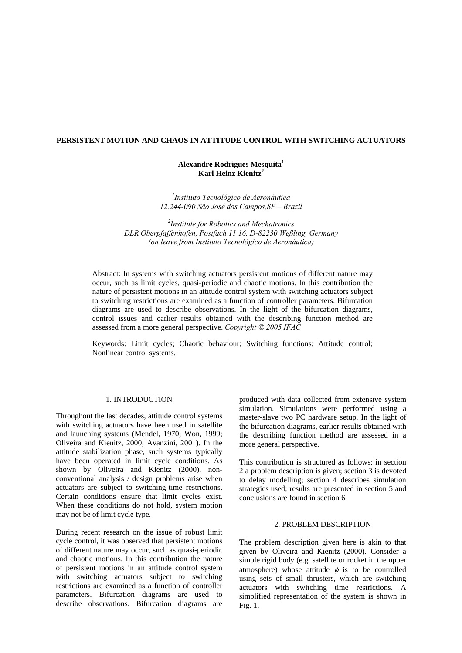# **PERSISTENT MOTION AND CHAOS IN ATTITUDE CONTROL WITH SWITCHING ACTUATORS**

## **Alexandre Rodrigues Mesquita<sup>1</sup> Karl Heinz Kienitz2**

*1 Instituto Tecnológico de Aeronáutica 12.244-090 São José dos Campos,SP – Brazil* 

*2 Institute for Robotics and Mechatronics DLR Oberpfaffenhofen, Postfach 11 16, D-82230 Weßling, Germany (on leave from Instituto Tecnológico de Aeronáutica)*

Abstract: In systems with switching actuators persistent motions of different nature may occur, such as limit cycles, quasi-periodic and chaotic motions. In this contribution the nature of persistent motions in an attitude control system with switching actuators subject to switching restrictions are examined as a function of controller parameters. Bifurcation diagrams are used to describe observations. In the light of the bifurcation diagrams, control issues and earlier results obtained with the describing function method are assessed from a more general perspective. *Copyright © 2005 IFAC*

Keywords: Limit cycles; Chaotic behaviour; Switching functions; Attitude control; Nonlinear control systems.

### 1. INTRODUCTION

Throughout the last decades, attitude control systems with switching actuators have been used in satellite and launching systems (Mendel, 1970; Won, 1999; Oliveira and Kienitz, 2000; Avanzini, 2001). In the attitude stabilization phase, such systems typically have been operated in limit cycle conditions. As shown by Oliveira and Kienitz (2000), nonconventional analysis / design problems arise when actuators are subject to switching-time restrictions. Certain conditions ensure that limit cycles exist. When these conditions do not hold, system motion may not be of limit cycle type.

During recent research on the issue of robust limit cycle control, it was observed that persistent motions of different nature may occur, such as quasi-periodic and chaotic motions. In this contribution the nature of persistent motions in an attitude control system with switching actuators subject to switching restrictions are examined as a function of controller parameters. Bifurcation diagrams are used to describe observations. Bifurcation diagrams are

produced with data collected from extensive system simulation. Simulations were performed using a master-slave two PC hardware setup. In the light of the bifurcation diagrams, earlier results obtained with the describing function method are assessed in a more general perspective.

This contribution is structured as follows: in section 2 a problem description is given; section 3 is devoted to delay modelling; section 4 describes simulation strategies used; results are presented in section 5 and conclusions are found in section 6.

### 2. PROBLEM DESCRIPTION

The problem description given here is akin to that given by Oliveira and Kienitz (2000). Consider a simple rigid body (e.g. satellite or rocket in the upper atmosphere) whose attitude  $\phi$  is to be controlled using sets of small thrusters, which are switching actuators with switching time restrictions. A simplified representation of the system is shown in Fig. 1.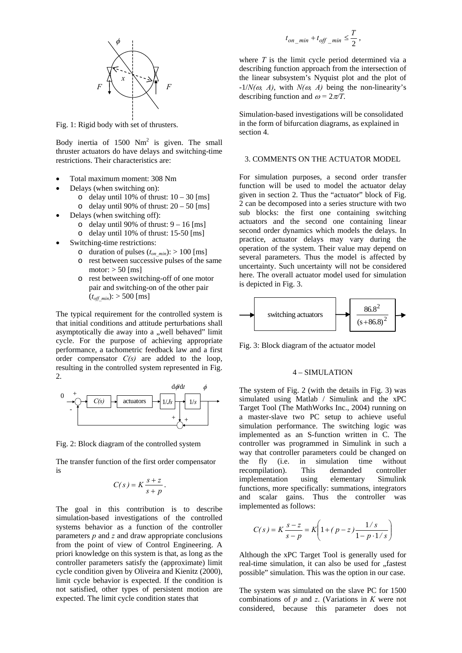

Fig. 1: Rigid body with set of thrusters.

Body inertia of  $1500 \text{ Nm}^2$  is given. The small thruster actuators do have delays and switching-time restrictions. Their characteristics are:

- Total maximum moment: 308 Nm
- Delays (when switching on):
	- o delay until 10% of thrust:  $10 30$  [ms]
	- o delay until 90% of thrust:  $20 50$  [ms]
- Delays (when switching off):
	- o delay until 90% of thrust:  $9 16$  [ms]
	- o delay until 10% of thrust: 15-50 [ms]
- Switching-time restrictions:
	- o duration of pulses  $(t_{on,min})$ : > 100 [ms]
	- o rest between successive pulses of the same motor:  $> 50$  [ms]
	- o rest between switching-off of one motor pair and switching-on of the other pair  $(t_{off\ min})$ : > 500 [ms]

The typical requirement for the controlled system is that initial conditions and attitude perturbations shall asymptotically die away into a "well behaved" limit cycle. For the purpose of achieving appropriate performance, a tachometric feedback law and a first order compensator *C(s)* are added to the loop, resulting in the controlled system represented in Fig. 2.



Fig. 2: Block diagram of the controlled system

The transfer function of the first order compensator is

$$
C(s) = K \frac{s+z}{s+p}.
$$

The goal in this contribution is to describe simulation-based investigations of the controlled systems behavior as a function of the controller parameters *p* and *z* and draw appropriate conclusions from the point of view of Control Engineering. A priori knowledge on this system is that, as long as the controller parameters satisfy the (approximate) limit cycle condition given by Oliveira and Kienitz (2000), limit cycle behavior is expected. If the condition is not satisfied, other types of persistent motion are expected. The limit cycle condition states that

$$
t_{on\_min} + t_{off\_min} \leq \frac{T}{2},
$$

where *T* is the limit cycle period determined via a describing function approach from the intersection of the linear subsystem's Nyquist plot and the plot of  $-1/N(\omega, A)$ , with  $N(\omega, A)$  being the non-linearity's describing function and  $\omega = 2\pi/T$ .

Simulation-based investigations will be consolidated in the form of bifurcation diagrams, as explained in section 4.

#### 3. COMMENTS ON THE ACTUATOR MODEL

For simulation purposes, a second order transfer function will be used to model the actuator delay given in section 2. Thus the "actuator" block of Fig. 2 can be decomposed into a series structure with two sub blocks: the first one containing switching actuators and the second one containing linear second order dynamics which models the delays. In practice, actuator delays may vary during the operation of the system. Their value may depend on several parameters. Thus the model is affected by uncertainty. Such uncertainty will not be considered here. The overall actuator model used for simulation is depicted in Fig. 3.



Fig. 3: Block diagram of the actuator model

### 4 – SIMULATION

The system of Fig. 2 (with the details in Fig. 3) was simulated using Matlab / Simulink and the xPC Target Tool (The MathWorks Inc., 2004) running on a master-slave two PC setup to achieve useful simulation performance. The switching logic was implemented as an S-function written in C. The controller was programmed in Simulink in such a way that controller parameters could be changed on the fly (i.e. in simulation time without recompilation). This demanded controller implementation using elementary Simulink functions, more specifically: summations, integrators and scalar gains. Thus the controller was implemented as follows:

$$
C(s) = K \frac{s-z}{s-p} = K \left( 1 + (p-z) \frac{1/s}{1 - p \cdot 1/s} \right)
$$

Although the xPC Target Tool is generally used for real-time simulation, it can also be used for "fastest possible" simulation. This was the option in our case.

The system was simulated on the slave PC for 1500 combinations of *p* and *z*. (Variations in *K* were not considered, because this parameter does not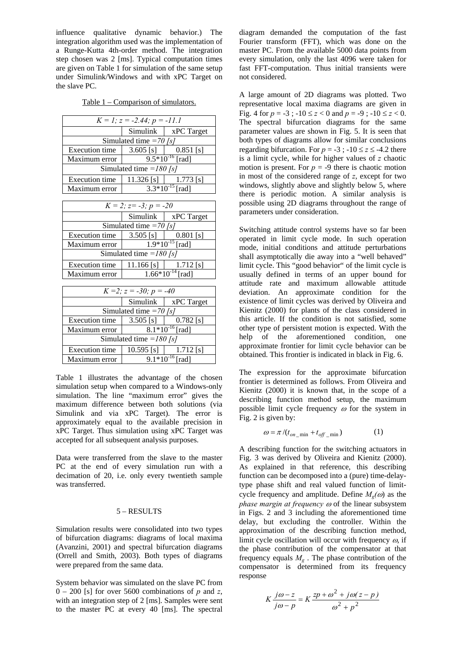influence qualitative dynamic behavior.) The integration algorithm used was the implementation of a Runge-Kutta 4th-order method. The integration step chosen was 2 [ms]. Typical computation times are given on Table 1 for simulation of the same setup under Simulink/Windows and with xPC Target on the slave PC.

Table 1 – Comparison of simulators.

| $K = 1$ ; $z = -2.44$ ; $p = -11.1$ |                                    |                                                                   |  |  |
|-------------------------------------|------------------------------------|-------------------------------------------------------------------|--|--|
|                                     |                                    | Simulink   xPC Target                                             |  |  |
| Simulated time $=70$ [s]            |                                    |                                                                   |  |  |
| <b>Execution</b> time               |                                    | 3.605 [s] $\vert$ 0.851 [s]                                       |  |  |
| Maximum error                       | $9.5*10^{-16}$ [rad]               |                                                                   |  |  |
| Simulated time = $180$ [s]          |                                    |                                                                   |  |  |
| <b>Execution</b> time               |                                    | 11.326 [s] $\begin{bmatrix} 1 & 1.773 \\ 1 & 1.773 \end{bmatrix}$ |  |  |
| Maximum error                       | $3.3*10^{-15}$ [rad]               |                                                                   |  |  |
|                                     |                                    |                                                                   |  |  |
| $K = 2$ ; $z = -3$ ; $p = -20$      |                                    |                                                                   |  |  |
|                                     | $\sim$ $\sim$ $\sim$ $\sim$ $\sim$ |                                                                   |  |  |

| -----                      |                       |             |  |  |
|----------------------------|-----------------------|-------------|--|--|
|                            | <b>Simulink</b>       | xPC Target  |  |  |
| Simulated time = $70$ [s]  |                       |             |  |  |
| <b>Execution time</b>      | $3.505$ [s]           | $0.801$ [s] |  |  |
| Maximum error              | $1.9*10^{-15}$ [rad]  |             |  |  |
| Simulated time = $180$ [s] |                       |             |  |  |
| <b>Execution</b> time      | $11.166$ [s]          | $1.712$ [s] |  |  |
| Maximum error              | $1.66*10^{-14}$ [rad] |             |  |  |

| $K = 2$ ; $z = -30$ ; $p = -40$ |                      |                                                           |  |
|---------------------------------|----------------------|-----------------------------------------------------------|--|
|                                 | Simulink             | xPC Target                                                |  |
| Simulated time = $70$ [s]       |                      |                                                           |  |
| <b>Execution</b> time           | $3.505$ [s]          | $0.782$ [s]                                               |  |
| Maximum error                   | $8.1*10^{-16}$ [rad] |                                                           |  |
| Simulated time = $180$ [s]      |                      |                                                           |  |
| <b>Execution</b> time           |                      | 10.595 [s] $\begin{bmatrix} 1.712 \\ 1.712 \end{bmatrix}$ |  |
| Maximum error                   | $9.1*10^{-16}$ [rad] |                                                           |  |

Table 1 illustrates the advantage of the chosen simulation setup when compared to a Windows-only simulation. The line "maximum error" gives the maximum difference between both solutions (via Simulink and via xPC Target). The error is approximately equal to the available precision in xPC Target. Thus simulation using xPC Target was accepted for all subsequent analysis purposes.

Data were transferred from the slave to the master PC at the end of every simulation run with a decimation of 20, i.e. only every twentieth sample was transferred.

#### 5 – RESULTS

Simulation results were consolidated into two types of bifurcation diagrams: diagrams of local maxima (Avanzini, 2001) and spectral bifurcation diagrams (Orrell and Smith, 2003). Both types of diagrams were prepared from the same data.

System behavior was simulated on the slave PC from  $0 - 200$  [s] for over 5600 combinations of *p* and *z*, with an integration step of 2 [ms]. Samples were sent to the master PC at every 40 [ms]. The spectral

diagram demanded the computation of the fast Fourier transform (FFT), which was done on the master PC. From the available 5000 data points from every simulation, only the last 4096 were taken for fast FFT-computation. Thus initial transients were not considered.

A large amount of 2D diagrams was plotted. Two representative local maxima diagrams are given in Fig. 4 for  $p = -3$ ;  $-10 \le z < 0$  and  $p = -9$ ;  $-10 \le z < 0$ . The spectral bifurcation diagrams for the same parameter values are shown in Fig. 5. It is seen that both types of diagrams allow for similar conclusions regarding bifurcation. For  $p = -3$ ;  $-10 \le z \le -4.2$  there is a limit cycle, while for higher values of *z* chaotic motion is present. For  $p = -9$  there is chaotic motion in most of the considered range of *z*, except for two windows, slightly above and slightly below 5, where there is periodic motion. A similar analysis is possible using 2D diagrams throughout the range of parameters under consideration.

Switching attitude control systems have so far been operated in limit cycle mode. In such operation mode, initial conditions and attitude perturbations shall asymptotically die away into a "well behaved" limit cycle. This "good behavior" of the limit cycle is usually defined in terms of an upper bound for attitude rate and maximum allowable attitude deviation. An approximate condition for the existence of limit cycles was derived by Oliveira and Kienitz (2000) for plants of the class considered in this article. If the condition is not satisfied, some other type of persistent motion is expected. With the help of the aforementioned condition, one approximate frontier for limit cycle behavior can be obtained. This frontier is indicated in black in Fig. 6.

The expression for the approximate bifurcation frontier is determined as follows. From Oliveira and Kienitz (2000) it is known that, in the scope of a describing function method setup, the maximum possible limit cycle frequency  $\omega$  for the system in Fig. 2 is given by:

$$
\omega = \pi / (t_{on\_min} + t_{off\_min})
$$
 (1)

A describing function for the switching actuators in Fig. 3 was derived by Oliveira and Kienitz (2000). As explained in that reference, this describing function can be decomposed into a (pure) time-delaytype phase shift and real valued function of limitcycle frequency and amplitude. Define  $M_{\varphi}(\omega)$  as the *phase margin at frequency* <sup>ω</sup> of the linear subsystem in Figs. 2 and 3 including the aforementioned time delay, but excluding the controller. Within the approximation of the describing function method, limit cycle oscillation will occur with frequency  $\omega$ , if the phase contribution of the compensator at that frequency equals  $M_g$ . The phase contribution of the compensator is determined from its frequency response

$$
K \frac{j\omega - z}{j\omega - p} = K \frac{zp + \omega^2 + j\omega(z - p)}{\omega^2 + p^2}
$$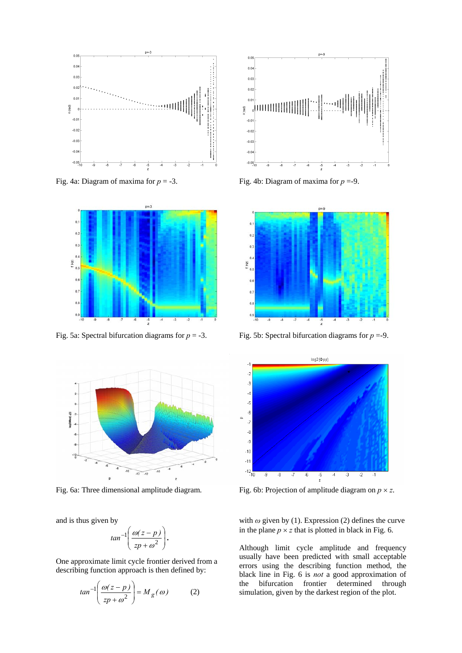





and is thus given by

$$
tan^{-1}\left(\frac{\omega(z-p)}{zp+\omega^2}\right).
$$

One approximate limit cycle frontier derived from a describing function approach is then defined by:

$$
tan^{-1}\left(\frac{\omega(z-p)}{zp+\omega^2}\right) = M_g(\omega)
$$
 (2)



Fig. 4a: Diagram of maxima for *p* = -3. Fig. 4b: Diagram of maxima for *p* =-9.



Fig. 5a: Spectral bifurcation diagrams for  $p = -3$ . Fig. 5b: Spectral bifurcation diagrams for  $p = -9$ .



Fig. 6a: Three dimensional amplitude diagram. Fig. 6b: Projection of amplitude diagram on  $p \times z$ .

with *ω* given by (1). Expression (2) defines the curve in the plane  $p \times z$  that is plotted in black in Fig. 6.

Although limit cycle amplitude and frequency usually have been predicted with small acceptable errors using the describing function method, the black line in Fig. 6 is *not* a good approximation of the bifurcation frontier determined through simulation, given by the darkest region of the plot.